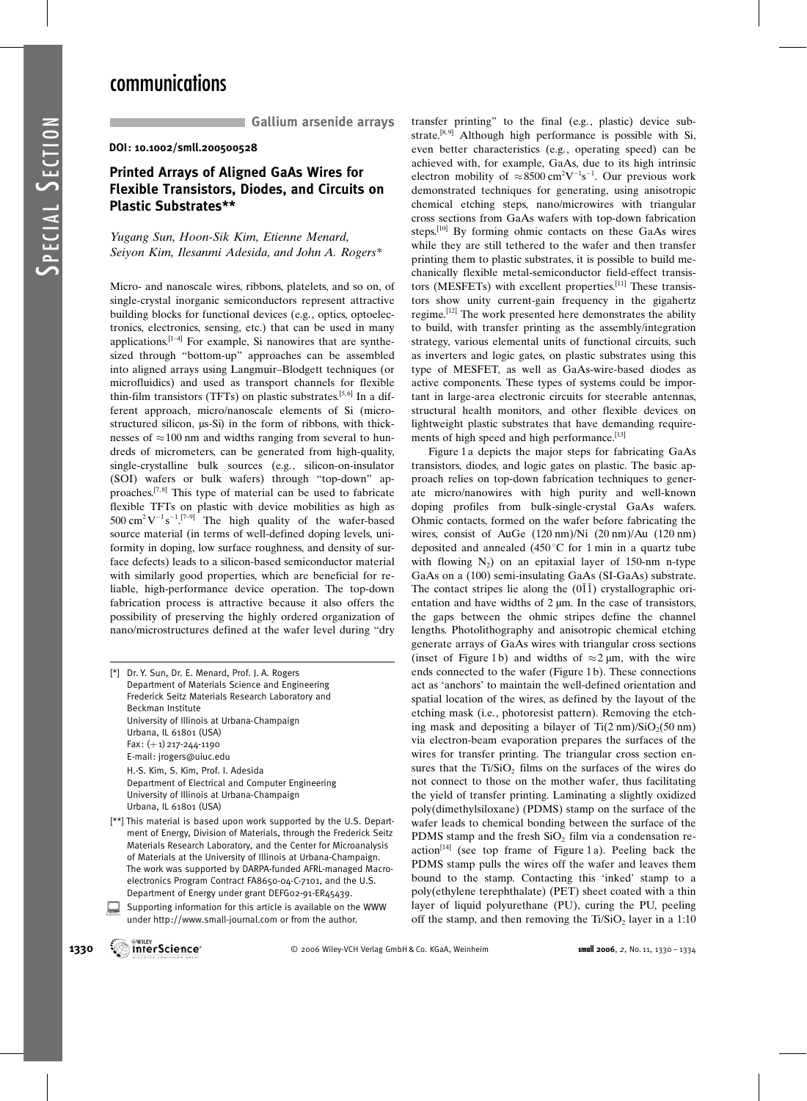SPECIAL

S<sub>ECTION</sub>

Gallium arsenide arrays

DOI: 10.1002/smll.200500528

## Printed Arrays of Aligned GaAs Wires for Flexible Transistors, Diodes, and Circuits on Plastic Substrates\*\*

Yugang Sun, Hoon-Sik Kim, Etienne Menard, Seiyon Kim, Ilesanmi Adesida, and John A. Rogers\*

Micro- and nanoscale wires, ribbons, platelets, and so on, of single-crystal inorganic semiconductors represent attractive building blocks for functional devices (e.g., optics, optoelectronics, electronics, sensing, etc.) that can be used in many applications. $[1-4]$  For example, Si nanowires that are synthesized through "bottom-up" approaches can be assembled into aligned arrays using Langmuir–Blodgett techniques (or microfluidics) and used as transport channels for flexible thin-film transistors (TFTs) on plastic substrates.<sup>[5,6]</sup> In a different approach, micro/nanoscale elements of Si (microstructured silicon,  $\mu$ s-Si) in the form of ribbons, with thicknesses of  $\approx$  100 nm and widths ranging from several to hundreds of micrometers, can be generated from high-quality, single-crystalline bulk sources (e.g., silicon-on-insulator (SOI) wafers or bulk wafers) through "top-down" approaches.<sup>[7,8]</sup> This type of material can be used to fabricate flexible TFTs on plastic with device mobilities as high as 500 cm<sup>2</sup>V<sup>-1</sup>s<sup>-1</sup>.<sup>[7-9]</sup> The high quality of the wafer-based source material (in terms of well-defined doping levels, uniformity in doping, low surface roughness, and density of surface defects) leads to a silicon-based semiconductor material with similarly good properties, which are beneficial for reliable, high-performance device operation. The top-down fabrication process is attractive because it also offers the possibility of preserving the highly ordered organization of nano/microstructures defined at the wafer level during "dry

[\*] Dr. Y. Sun, Dr. E. Menard, Prof. J. A. Rogers Department of Materials Science and Engineering Frederick Seitz Materials Research Laboratory and Beckman Institute University of Illinois at Urbana-Champaign Urbana, IL 61801 (USA)  $Fax: (+1)$  217-244-1190 E-mail: jrogers@uiuc.edu H.-S. Kim, S. Kim, Prof. I. Adesida Department of Electrical and Computer Engineering University of Illinois at Urbana-Champaign Urbana, IL 61801 (USA)

- [\*\*] This material is based upon work supported by the U.S. Department of Energy, Division of Materials, through the Frederick Seitz Materials Research Laboratory, and the Center for Microanalysis of Materials at the University of Illinois at Urbana-Champaign. The work was supported by DARPA-funded AFRL-managed Macroelectronics Program Contract FA8650-04-C-7101, and the U.S. Department of Energy under grant DEFG02-91-ER45439.
- Supporting information for this article is available on the WWW under http://www.small-journal.com or from the author.

transfer printing" to the final (e.g., plastic) device substrate.<sup>[8,9]</sup> Although high performance is possible with Si, even better characteristics (e.g., operating speed) can be achieved with, for example, GaAs, due to its high intrinsic electron mobility of  $\approx 8500 \text{ cm}^2\text{V}^{-1}\text{s}^{-1}$ . Our previous work demonstrated techniques for generating, using anisotropic chemical etching steps, nano/microwires with triangular cross sections from GaAs wafers with top-down fabrication steps.[10] By forming ohmic contacts on these GaAs wires while they are still tethered to the wafer and then transfer printing them to plastic substrates, it is possible to build mechanically flexible metal-semiconductor field-effect transistors (MESFETs) with excellent properties.[11] These transistors show unity current-gain frequency in the gigahertz regime.[12] The work presented here demonstrates the ability to build, with transfer printing as the assembly/integration strategy, various elemental units of functional circuits, such as inverters and logic gates, on plastic substrates using this type of MESFET, as well as GaAs-wire-based diodes as active components. These types of systems could be important in large-area electronic circuits for steerable antennas, structural health monitors, and other flexible devices on lightweight plastic substrates that have demanding requirements of high speed and high performance.<sup>[13]</sup>

Figure 1 a depicts the major steps for fabricating GaAs transistors, diodes, and logic gates on plastic. The basic approach relies on top-down fabrication techniques to generate micro/nanowires with high purity and well-known doping profiles from bulk-single-crystal GaAs wafers. Ohmic contacts, formed on the wafer before fabricating the wires, consist of AuGe (120 nm)/Ni (20 nm)/Au (120 nm) deposited and annealed  $(450^{\circ} \text{C})$  for 1 min in a quartz tube with flowing  $N_2$ ) on an epitaxial layer of 150-nm n-type GaAs on a (100) semi-insulating GaAs (SI-GaAs) substrate. The contact stripes lie along the  $(01\bar{1})$  crystallographic orientation and have widths of  $2 \mu m$ . In the case of transistors, the gaps between the ohmic stripes define the channel lengths. Photolithography and anisotropic chemical etching generate arrays of GaAs wires with triangular cross sections (inset of Figure 1b) and widths of  $\approx$  2  $\mu$ m, with the wire ends connected to the wafer (Figure 1 b). These connections act as 'anchors' to maintain the well-defined orientation and spatial location of the wires, as defined by the layout of the etching mask (i.e., photoresist pattern). Removing the etching mask and depositing a bilayer of  $Ti(2 \text{ nm})/SiO_2(50 \text{ nm})$ via electron-beam evaporation prepares the surfaces of the wires for transfer printing. The triangular cross section ensures that the Ti/SiO<sub>2</sub> films on the surfaces of the wires do not connect to those on the mother wafer, thus facilitating the yield of transfer printing. Laminating a slightly oxidized poly(dimethylsiloxane) (PDMS) stamp on the surface of the wafer leads to chemical bonding between the surface of the PDMS stamp and the fresh  $SiO<sub>2</sub>$  film via a condensation reaction<sup>[14]</sup> (see top frame of Figure 1 a). Peeling back the PDMS stamp pulls the wires off the wafer and leaves them bound to the stamp. Contacting this 'inked' stamp to a poly(ethylene terephthalate) (PET) sheet coated with a thin layer of liquid polyurethane (PU), curing the PU, peeling off the stamp, and then removing the  $Ti/SiO<sub>2</sub>$  layer in a 1:10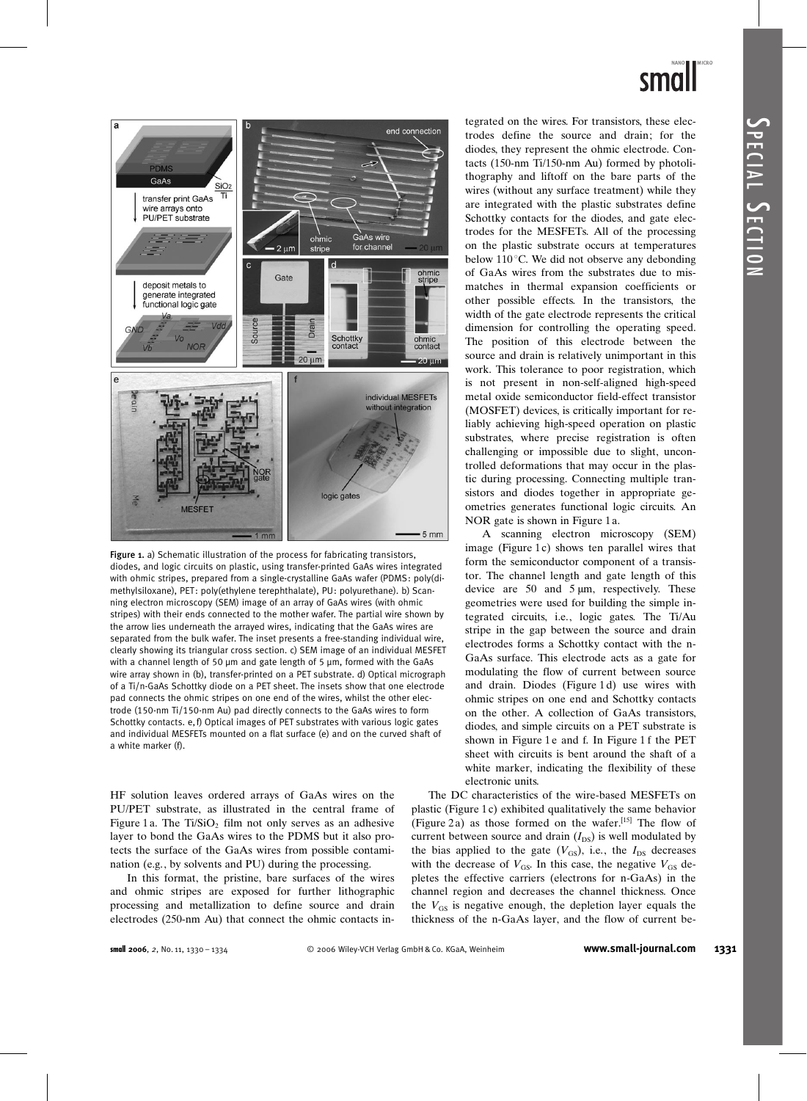

Figure 1. a) Schematic illustration of the process for fabricating transistors, diodes, and logic circuits on plastic, using transfer-printed GaAs wires integrated with ohmic stripes, prepared from a single-crystalline GaAs wafer (PDMS: poly(dimethylsiloxane), PET: poly(ethylene terephthalate), PU: polyurethane). b) Scanning electron microscopy (SEM) image of an array of GaAs wires (with ohmic stripes) with their ends connected to the mother wafer. The partial wire shown by the arrow lies underneath the arrayed wires, indicating that the GaAs wires are separated from the bulk wafer. The inset presents a free-standing individual wire, clearly showing its triangular cross section. c) SEM image of an individual MESFET with a channel length of 50  $\mu$ m and gate length of 5  $\mu$ m, formed with the GaAs wire array shown in (b), transfer-printed on a PET substrate. d) Optical micrograph of a Ti/n-GaAs Schottky diode on a PET sheet. The insets show that one electrode pad connects the ohmic stripes on one end of the wires, whilst the other electrode (150-nm Ti/150-nm Au) pad directly connects to the GaAs wires to form Schottky contacts. e,f) Optical images of PET substrates with various logic gates and individual MESFETs mounted on a flat surface (e) and on the curved shaft of a white marker (f).

HF solution leaves ordered arrays of GaAs wires on the PU/PET substrate, as illustrated in the central frame of Figure 1 a. The Ti/SiO<sub>2</sub> film not only serves as an adhesive layer to bond the GaAs wires to the PDMS but it also protects the surface of the GaAs wires from possible contamination (e.g., by solvents and PU) during the processing.

In this format, the pristine, bare surfaces of the wires and ohmic stripes are exposed for further lithographic processing and metallization to define source and drain electrodes (250-nm Au) that connect the ohmic contacts integrated on the wires. For transistors, these electrodes define the source and drain; for the diodes, they represent the ohmic electrode. Contacts (150-nm Ti/150-nm Au) formed by photolithography and liftoff on the bare parts of the wires (without any surface treatment) while they are integrated with the plastic substrates define Schottky contacts for the diodes, and gate electrodes for the MESFETs. All of the processing on the plastic substrate occurs at temperatures below  $110^{\circ}$ C. We did not observe any debonding of GaAs wires from the substrates due to mismatches in thermal expansion coefficients or other possible effects. In the transistors, the width of the gate electrode represents the critical dimension for controlling the operating speed. The position of this electrode between the source and drain is relatively unimportant in this work. This tolerance to poor registration, which is not present in non-self-aligned high-speed metal oxide semiconductor field-effect transistor (MOSFET) devices, is critically important for reliably achieving high-speed operation on plastic substrates, where precise registration is often challenging or impossible due to slight, uncontrolled deformations that may occur in the plastic during processing. Connecting multiple transistors and diodes together in appropriate geometries generates functional logic circuits. An NOR gate is shown in Figure 1a.

A scanning electron microscopy (SEM) image (Figure  $1c$ ) shows ten parallel wires that form the semiconductor component of a transistor. The channel length and gate length of this device are  $50$  and  $5 \mu m$ , respectively. These geometries were used for building the simple integrated circuits, i.e., logic gates. The Ti/Au stripe in the gap between the source and drain electrodes forms a Schottky contact with the n-GaAs surface. This electrode acts as a gate for modulating the flow of current between source and drain. Diodes (Figure 1 d) use wires with ohmic stripes on one end and Schottky contacts on the other. A collection of GaAs transistors, diodes, and simple circuits on a PET substrate is shown in Figure 1 e and f. In Figure 1 f the PET sheet with circuits is bent around the shaft of a white marker, indicating the flexibility of these electronic units.

The DC characteristics of the wire-based MESFETs on plastic (Figure 1 c) exhibited qualitatively the same behavior (Figure 2 a) as those formed on the wafer.[15] The flow of current between source and drain  $(I_{DS})$  is well modulated by the bias applied to the gate  $(V_{GS})$ , i.e., the  $I_{DS}$  decreases with the decrease of  $V_{GS}$ . In this case, the negative  $V_{GS}$  depletes the effective carriers (electrons for n-GaAs) in the channel region and decreases the channel thickness. Once the  $V_{GS}$  is negative enough, the depletion layer equals the thickness of the n-GaAs layer, and the flow of current be-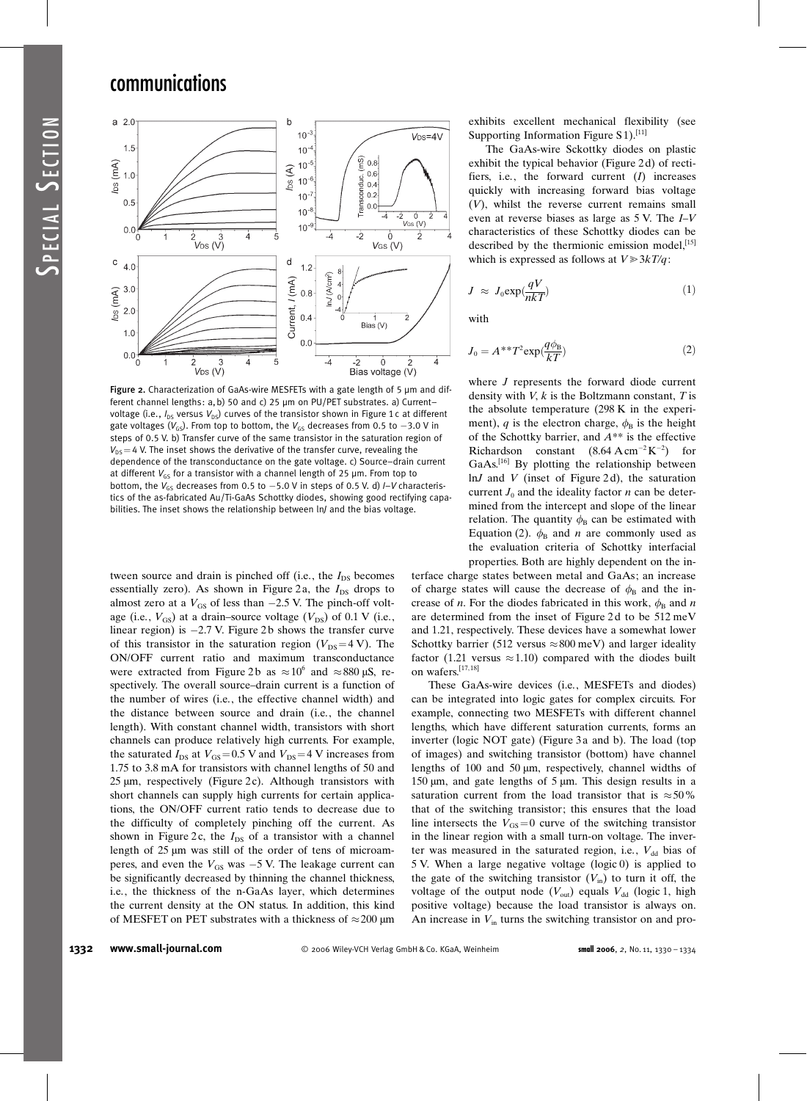# communications



Figure 2. Characterization of GaAs-wire MESFETs with a gate length of 5  $\mu$ m and different channel lengths: a, b) 50 and c) 25 um on PU/PET substrates. a) Currentvoltage (i.e.,  $I_{DS}$  versus  $V_{DS}$ ) curves of the transistor shown in Figure 1 c at different gate voltages (V $_{\rm GS}$ ). From top to bottom, the V $_{\rm GS}$  decreases from 0.5 to  $-$ 3.0 V in steps of 0.5 V. b) Transfer curve of the same transistor in the saturation region of  $V_{DS}=4$  V. The inset shows the derivative of the transfer curve, revealing the dependence of the transconductance on the gate voltage. c) Source–drain current at different  $V_{GS}$  for a transistor with a channel length of 25  $\mu$ m. From top to bottom, the  $V_{GS}$  decreases from 0.5 to  $-5.0$  V in steps of 0.5 V. d)  $I-V$  characteristics of the as-fabricated Au/Ti-GaAs Schottky diodes, showing good rectifying capabilities. The inset shows the relationship between ln/ and the bias voltage.

tween source and drain is pinched off (i.e., the  $I_{DS}$  becomes essentially zero). As shown in Figure 2a, the  $I_{DS}$  drops to almost zero at a  $V_{GS}$  of less than  $-2.5$  V. The pinch-off voltage (i.e.,  $V_{GS}$ ) at a drain–source voltage ( $V_{DS}$ ) of 0.1 V (i.e., linear region) is  $-2.7$  V. Figure 2b shows the transfer curve of this transistor in the saturation region ( $V_{DS}=4$  V). The ON/OFF current ratio and maximum transconductance were extracted from Figure 2b as  $\approx 10^6$  and  $\approx 880 \,\mu\text{S}$ , respectively. The overall source–drain current is a function of the number of wires (i.e., the effective channel width) and the distance between source and drain (i.e., the channel length). With constant channel width, transistors with short channels can produce relatively high currents. For example, the saturated  $I_{DS}$  at  $V_{GS} = 0.5$  V and  $V_{DS} = 4$  V increases from 1.75 to 3.8 mA for transistors with channel lengths of 50 and  $25 \mu m$ , respectively (Figure 2c). Although transistors with short channels can supply high currents for certain applications, the ON/OFF current ratio tends to decrease due to the difficulty of completely pinching off the current. As shown in Figure 2c, the  $I_{DS}$  of a transistor with a channel length of 25 µm was still of the order of tens of microamperes, and even the  $V_{GS}$  was  $-5$  V. The leakage current can be significantly decreased by thinning the channel thickness, i.e., the thickness of the n-GaAs layer, which determines the current density at the ON status. In addition, this kind of MESFET on PET substrates with a thickness of  $\approx$  200 µm

exhibits excellent mechanical flexibility (see Supporting Information Figure  $S_1$ <sup>[11]</sup>

The GaAs-wire Sckottky diodes on plastic exhibit the typical behavior (Figure 2 d) of rectifiers, i.e., the forward current  $(I)$  increases quickly with increasing forward bias voltage (V), whilst the reverse current remains small even at reverse biases as large as 5 V. The I–V characteristics of these Schottky diodes can be described by the thermionic emission model,<sup>[15]</sup> which is expressed as follows at  $V \ge 3kT/q$ :

$$
J \approx J_0 \exp(\frac{qV}{nkT})
$$
 (1)

with

$$
J_0 = A^{**}T^2 \exp(\frac{q\phi_B}{kT})
$$
 (2)

where *J* represents the forward diode current density with  $V, k$  is the Boltzmann constant,  $T$  is the absolute temperature (298 K in the experiment), q is the electron charge,  $\phi_B$  is the height of the Schottky barrier, and  $A^{**}$  is the effective Richardson constant  $(8.64 \text{ A cm}^{-2} \text{K}^{-2})$  for GaAs.[16] By plotting the relationship between  $ln J$  and V (inset of Figure 2d), the saturation current  $J_0$  and the ideality factor *n* can be determined from the intercept and slope of the linear relation. The quantity  $\phi_B$  can be estimated with Equation (2).  $\phi_B$  and *n* are commonly used as the evaluation criteria of Schottky interfacial properties. Both are highly dependent on the in-

terface charge states between metal and GaAs; an increase of charge states will cause the decrease of  $\phi_B$  and the increase of *n*. For the diodes fabricated in this work,  $\phi_B$  and *n* are determined from the inset of Figure 2 d to be 512 meV and 1.21, respectively. These devices have a somewhat lower Schottky barrier (512 versus  $\approx 800$  meV) and larger ideality factor (1.21 versus  $\approx$  1.10) compared with the diodes built on wafers.[17,18]

These GaAs-wire devices (i.e., MESFETs and diodes) can be integrated into logic gates for complex circuits. For example, connecting two MESFETs with different channel lengths, which have different saturation currents, forms an inverter (logic NOT gate) (Figure 3 a and b). The load (top of images) and switching transistor (bottom) have channel lengths of 100 and 50  $\mu$ m, respectively, channel widths of 150  $\mu$ m, and gate lengths of 5  $\mu$ m. This design results in a saturation current from the load transistor that is  $\approx 50\%$ that of the switching transistor; this ensures that the load line intersects the  $V_{GS}=0$  curve of the switching transistor in the linear region with a small turn-on voltage. The inverter was measured in the saturated region, i.e.,  $V_{dd}$  bias of 5 V. When a large negative voltage (logic 0) is applied to the gate of the switching transistor  $(V_{in})$  to turn it off, the voltage of the output node  $(V_{\text{out}})$  equals  $V_{\text{dd}}$  (logic 1, high positive voltage) because the load transistor is always on. An increase in  $V_{\text{in}}$  turns the switching transistor on and pro-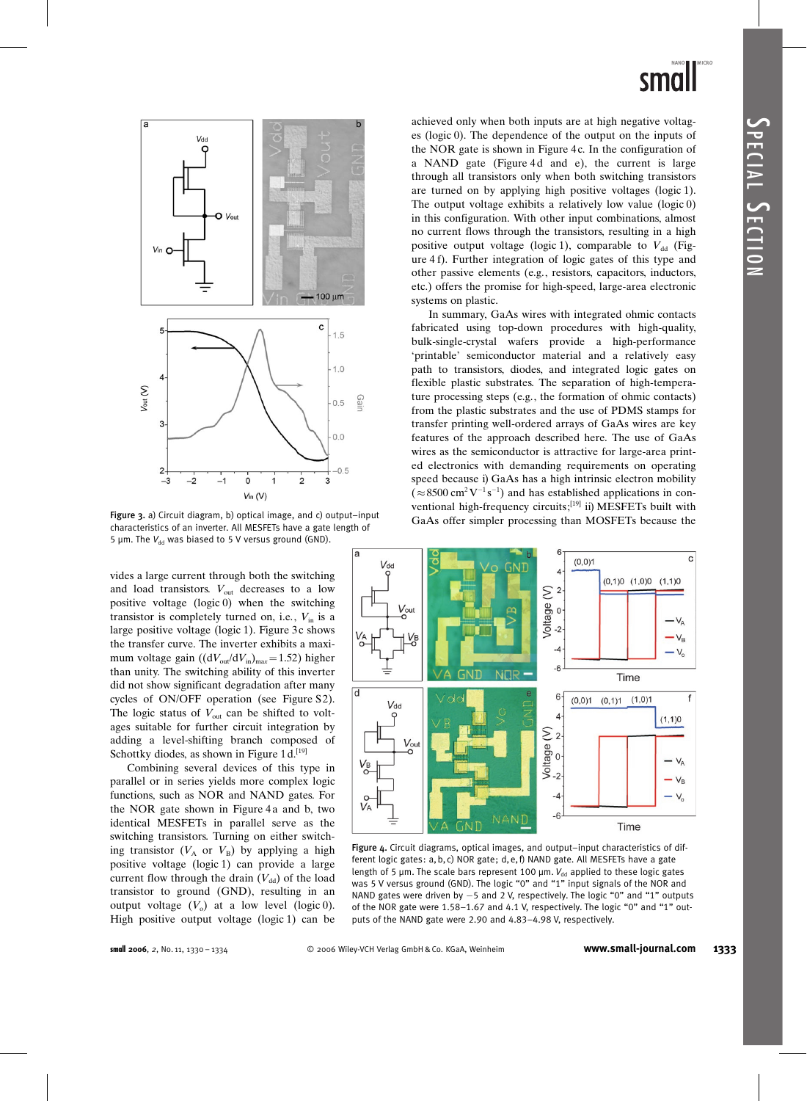



Figure 3. a) Circuit diagram, b) optical image, and c) output–input GaAs offer simpler processing than MOSFETs because the characteristics of an inverter. All MESFETs have a gate length of 5  $\mu$ m. The  $V_{dd}$  was biased to 5 V versus ground (GND).

vides a large current through both the switching and load transistors.  $V_{\text{out}}$  decreases to a low positive voltage (logic 0) when the switching transistor is completely turned on, i.e.,  $V_{in}$  is a large positive voltage (logic 1). Figure 3 c shows the transfer curve. The inverter exhibits a maximum voltage gain  $((dV_{\text{out}}/dV_{\text{in}})_{\text{max}}=1.52)$  higher than unity. The switching ability of this inverter did not show significant degradation after many cycles of ON/OFF operation (see Figure S2). The logic status of  $V_{\text{out}}$  can be shifted to voltages suitable for further circuit integration by adding a level-shifting branch composed of Schottky diodes, as shown in Figure  $1 d$ .<sup>[19]</sup>

Combining several devices of this type in parallel or in series yields more complex logic functions, such as NOR and NAND gates. For the NOR gate shown in Figure 4a and b, two identical MESFETs in parallel serve as the switching transistors. Turning on either switching transistor  $(V_A \text{ or } V_B)$  by applying a high positive voltage (logic 1) can provide a large current flow through the drain  $(V_{dd})$  of the load transistor to ground (GND), resulting in an output voltage  $(V_0)$  at a low level (logic 0). High positive output voltage (logic 1) can be achieved only when both inputs are at high negative voltages (logic 0). The dependence of the output on the inputs of the NOR gate is shown in Figure 4c. In the configuration of a NAND gate (Figure 4d and e), the current is large through all transistors only when both switching transistors are turned on by applying high positive voltages (logic 1). The output voltage exhibits a relatively low value (logic 0) in this configuration. With other input combinations, almost no current flows through the transistors, resulting in a high positive output voltage (logic 1), comparable to  $V_{dd}$  (Figure 4f). Further integration of logic gates of this type and other passive elements (e.g., resistors, capacitors, inductors, etc.) offers the promise for high-speed, large-area electronic systems on plastic.

In summary, GaAs wires with integrated ohmic contacts fabricated using top-down procedures with high-quality, bulk-single-crystal wafers provide a high-performance 'printable' semiconductor material and a relatively easy path to transistors, diodes, and integrated logic gates on flexible plastic substrates. The separation of high-temperature processing steps (e.g., the formation of ohmic contacts) from the plastic substrates and the use of PDMS stamps for transfer printing well-ordered arrays of GaAs wires are key features of the approach described here. The use of GaAs wires as the semiconductor is attractive for large-area printed electronics with demanding requirements on operating speed because i) GaAs has a high intrinsic electron mobility  $(\approx 8500 \text{ cm}^2 \text{V}^{-1} \text{s}^{-1})$  and has established applications in conventional high-frequency circuits;[19] ii) MESFETs built with



Figure 4. Circuit diagrams, optical images, and output–input characteristics of different logic gates: a, b, c) NOR gate ; d, e,f) NAND gate. All MESFETs have a gate length of 5  $\mu$ m. The scale bars represent 100  $\mu$ m.  $V_{dd}$  applied to these logic gates was 5 V versus ground (GND). The logic "0" and "1" input signals of the NOR and NAND gates were driven by -5 and 2 V, respectively. The logic "0" and "1" outputs of the NOR gate were 1.58–1.67 and 4.1 V, respectively. The logic "0" and "1" outputs of the NAND gate were 2.90 and 4.83–4.98 V, respectively.